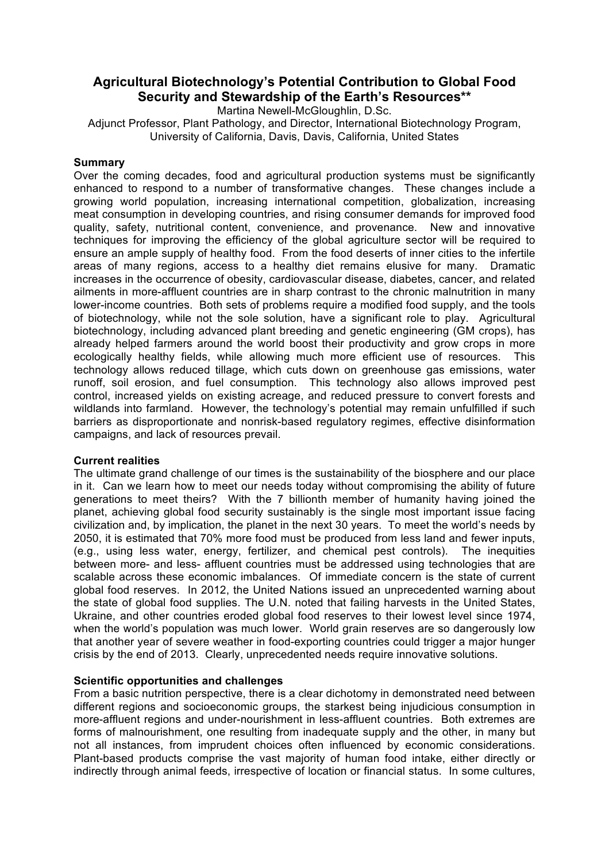# **Agricultural Biotechnology's Potential Contribution to Global Food Security and Stewardship of the Earth's Resources\*\***

Martina Newell-McGloughlin, D.Sc.

Adjunct Professor, Plant Pathology, and Director, International Biotechnology Program, University of California, Davis, Davis, California, United States

### **Summary**

Over the coming decades, food and agricultural production systems must be significantly enhanced to respond to a number of transformative changes. These changes include a growing world population, increasing international competition, globalization, increasing meat consumption in developing countries, and rising consumer demands for improved food quality, safety, nutritional content, convenience, and provenance. New and innovative techniques for improving the efficiency of the global agriculture sector will be required to ensure an ample supply of healthy food. From the food deserts of inner cities to the infertile areas of many regions, access to a healthy diet remains elusive for many. Dramatic increases in the occurrence of obesity, cardiovascular disease, diabetes, cancer, and related ailments in more-affluent countries are in sharp contrast to the chronic malnutrition in many lower-income countries. Both sets of problems require a modified food supply, and the tools of biotechnology, while not the sole solution, have a significant role to play. Agricultural biotechnology, including advanced plant breeding and genetic engineering (GM crops), has already helped farmers around the world boost their productivity and grow crops in more ecologically healthy fields, while allowing much more efficient use of resources. This technology allows reduced tillage, which cuts down on greenhouse gas emissions, water runoff, soil erosion, and fuel consumption. This technology also allows improved pest control, increased yields on existing acreage, and reduced pressure to convert forests and wildlands into farmland. However, the technology's potential may remain unfulfilled if such barriers as disproportionate and nonrisk-based regulatory regimes, effective disinformation campaigns, and lack of resources prevail.

### **Current realities**

The ultimate grand challenge of our times is the sustainability of the biosphere and our place in it. Can we learn how to meet our needs today without compromising the ability of future generations to meet theirs? With the 7 billionth member of humanity having joined the planet, achieving global food security sustainably is the single most important issue facing civilization and, by implication, the planet in the next 30 years. To meet the world's needs by 2050, it is estimated that 70% more food must be produced from less land and fewer inputs, (e.g., using less water, energy, fertilizer, and chemical pest controls). The inequities between more- and less- affluent countries must be addressed using technologies that are scalable across these economic imbalances. Of immediate concern is the state of current global food reserves. In 2012, the United Nations issued an unprecedented warning about the state of global food supplies. The U.N. noted that failing harvests in the United States, Ukraine, and other countries eroded global food reserves to their lowest level since 1974, when the world's population was much lower. World grain reserves are so dangerously low that another year of severe weather in food-exporting countries could trigger a major hunger crisis by the end of 2013. Clearly, unprecedented needs require innovative solutions.

### **Scientific opportunities and challenges**

From a basic nutrition perspective, there is a clear dichotomy in demonstrated need between different regions and socioeconomic groups, the starkest being injudicious consumption in more-affluent regions and under-nourishment in less-affluent countries. Both extremes are forms of malnourishment, one resulting from inadequate supply and the other, in many but not all instances, from imprudent choices often influenced by economic considerations. Plant-based products comprise the vast majority of human food intake, either directly or indirectly through animal feeds, irrespective of location or financial status. In some cultures,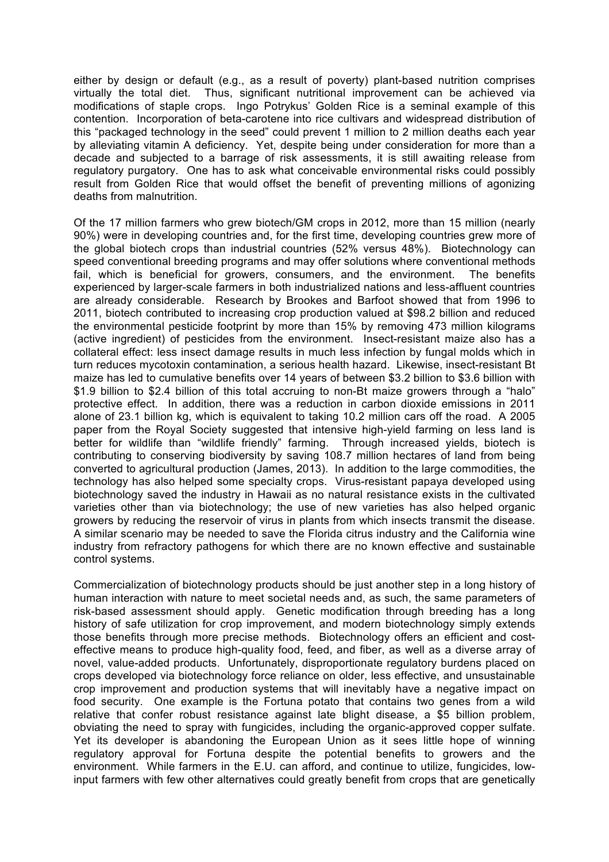either by design or default (e.g., as a result of poverty) plant-based nutrition comprises virtually the total diet. Thus, significant nutritional improvement can be achieved via modifications of staple crops. Ingo Potrykus' Golden Rice is a seminal example of this contention. Incorporation of beta-carotene into rice cultivars and widespread distribution of this "packaged technology in the seed" could prevent 1 million to 2 million deaths each year by alleviating vitamin A deficiency. Yet, despite being under consideration for more than a decade and subjected to a barrage of risk assessments, it is still awaiting release from regulatory purgatory. One has to ask what conceivable environmental risks could possibly result from Golden Rice that would offset the benefit of preventing millions of agonizing deaths from malnutrition.

Of the 17 million farmers who grew biotech/GM crops in 2012, more than 15 million (nearly 90%) were in developing countries and, for the first time, developing countries grew more of the global biotech crops than industrial countries (52% versus 48%). Biotechnology can speed conventional breeding programs and may offer solutions where conventional methods fail, which is beneficial for growers, consumers, and the environment. The benefits experienced by larger-scale farmers in both industrialized nations and less-affluent countries are already considerable. Research by Brookes and Barfoot showed that from 1996 to 2011, biotech contributed to increasing crop production valued at \$98.2 billion and reduced the environmental pesticide footprint by more than 15% by removing 473 million kilograms (active ingredient) of pesticides from the environment. Insect-resistant maize also has a collateral effect: less insect damage results in much less infection by fungal molds which in turn reduces mycotoxin contamination, a serious health hazard. Likewise, insect-resistant Bt maize has led to cumulative benefits over 14 years of between \$3.2 billion to \$3.6 billion with \$1.9 billion to \$2.4 billion of this total accruing to non-Bt maize growers through a "halo" protective effect. In addition, there was a reduction in carbon dioxide emissions in 2011 alone of 23.1 billion kg, which is equivalent to taking 10.2 million cars off the road. A 2005 paper from the Royal Society suggested that intensive high-yield farming on less land is better for wildlife than "wildlife friendly" farming. Through increased yields, biotech is contributing to conserving biodiversity by saving 108.7 million hectares of land from being converted to agricultural production (James, 2013). In addition to the large commodities, the technology has also helped some specialty crops. Virus-resistant papaya developed using biotechnology saved the industry in Hawaii as no natural resistance exists in the cultivated varieties other than via biotechnology; the use of new varieties has also helped organic growers by reducing the reservoir of virus in plants from which insects transmit the disease. A similar scenario may be needed to save the Florida citrus industry and the California wine industry from refractory pathogens for which there are no known effective and sustainable control systems.

Commercialization of biotechnology products should be just another step in a long history of human interaction with nature to meet societal needs and, as such, the same parameters of risk-based assessment should apply. Genetic modification through breeding has a long history of safe utilization for crop improvement, and modern biotechnology simply extends those benefits through more precise methods. Biotechnology offers an efficient and costeffective means to produce high-quality food, feed, and fiber, as well as a diverse array of novel, value-added products. Unfortunately, disproportionate regulatory burdens placed on crops developed via biotechnology force reliance on older, less effective, and unsustainable crop improvement and production systems that will inevitably have a negative impact on food security. One example is the Fortuna potato that contains two genes from a wild relative that confer robust resistance against late blight disease, a \$5 billion problem, obviating the need to spray with fungicides, including the organic-approved copper sulfate. Yet its developer is abandoning the European Union as it sees little hope of winning regulatory approval for Fortuna despite the potential benefits to growers and the environment. While farmers in the E.U. can afford, and continue to utilize, fungicides, lowinput farmers with few other alternatives could greatly benefit from crops that are genetically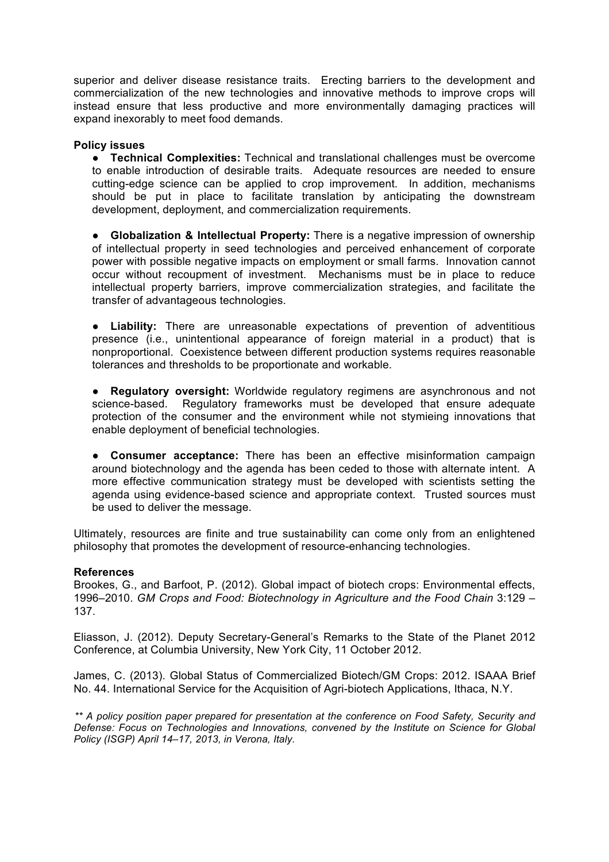superior and deliver disease resistance traits. Erecting barriers to the development and commercialization of the new technologies and innovative methods to improve crops will instead ensure that less productive and more environmentally damaging practices will expand inexorably to meet food demands.

### **Policy issues**

● **Technical Complexities:** Technical and translational challenges must be overcome to enable introduction of desirable traits. Adequate resources are needed to ensure cutting-edge science can be applied to crop improvement. In addition, mechanisms should be put in place to facilitate translation by anticipating the downstream development, deployment, and commercialization requirements.

● **Globalization & Intellectual Property:** There is a negative impression of ownership of intellectual property in seed technologies and perceived enhancement of corporate power with possible negative impacts on employment or small farms. Innovation cannot occur without recoupment of investment. Mechanisms must be in place to reduce intellectual property barriers, improve commercialization strategies, and facilitate the transfer of advantageous technologies.

● **Liability:** There are unreasonable expectations of prevention of adventitious presence (i.e., unintentional appearance of foreign material in a product) that is nonproportional. Coexistence between different production systems requires reasonable tolerances and thresholds to be proportionate and workable.

● **Regulatory oversight:** Worldwide regulatory regimens are asynchronous and not science-based. Regulatory frameworks must be developed that ensure adequate protection of the consumer and the environment while not stymieing innovations that enable deployment of beneficial technologies.

● **Consumer acceptance:** There has been an effective misinformation campaign around biotechnology and the agenda has been ceded to those with alternate intent. A more effective communication strategy must be developed with scientists setting the agenda using evidence-based science and appropriate context. Trusted sources must be used to deliver the message.

Ultimately, resources are finite and true sustainability can come only from an enlightened philosophy that promotes the development of resource-enhancing technologies.

### **References**

Brookes, G., and Barfoot, P. (2012). Global impact of biotech crops: Environmental effects, 1996–2010. *GM Crops and Food: Biotechnology in Agriculture and the Food Chain* 3:129 – 137.

Eliasson, J. (2012). Deputy Secretary-General's Remarks to the State of the Planet 2012 Conference, at Columbia University, New York City, 11 October 2012.

James, C. (2013). Global Status of Commercialized Biotech/GM Crops: 2012. ISAAA Brief No. 44. International Service for the Acquisition of Agri-biotech Applications, Ithaca, N.Y.

*\*\* A policy position paper prepared for presentation at the conference on Food Safety, Security and Defense: Focus on Technologies and Innovations, convened by the Institute on Science for Global Policy (ISGP) April 14–17, 2013, in Verona, Italy.*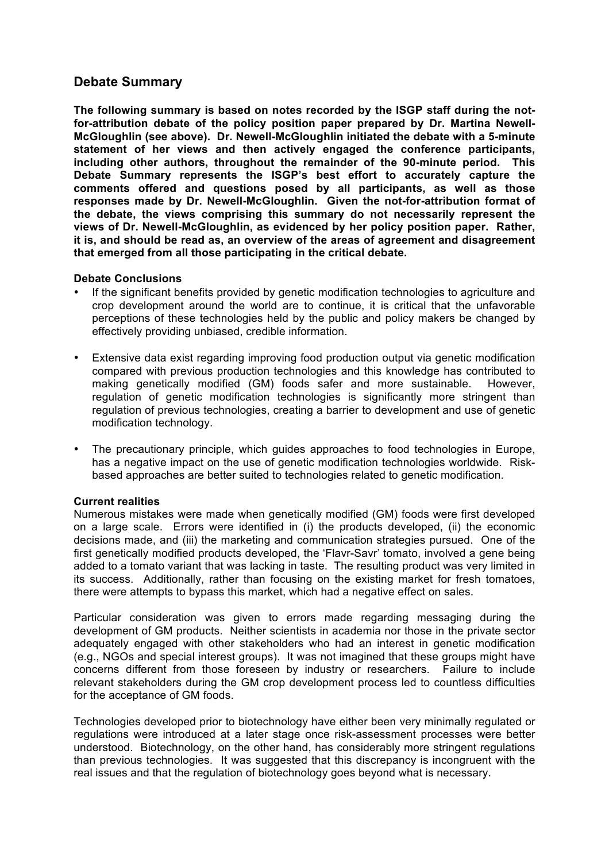## **Debate Summary**

**The following summary is based on notes recorded by the ISGP staff during the notfor-attribution debate of the policy position paper prepared by Dr. Martina Newell-McGloughlin (see above). Dr. Newell-McGloughlin initiated the debate with a 5-minute statement of her views and then actively engaged the conference participants, including other authors, throughout the remainder of the 90-minute period. This Debate Summary represents the ISGP's best effort to accurately capture the comments offered and questions posed by all participants, as well as those responses made by Dr. Newell-McGloughlin. Given the not-for-attribution format of the debate, the views comprising this summary do not necessarily represent the views of Dr. Newell-McGloughlin, as evidenced by her policy position paper. Rather, it is, and should be read as, an overview of the areas of agreement and disagreement that emerged from all those participating in the critical debate.**

## **Debate Conclusions**

- If the significant benefits provided by genetic modification technologies to agriculture and crop development around the world are to continue, it is critical that the unfavorable perceptions of these technologies held by the public and policy makers be changed by effectively providing unbiased, credible information.
- Extensive data exist regarding improving food production output via genetic modification compared with previous production technologies and this knowledge has contributed to making genetically modified (GM) foods safer and more sustainable. However, regulation of genetic modification technologies is significantly more stringent than regulation of previous technologies, creating a barrier to development and use of genetic modification technology.
- The precautionary principle, which guides approaches to food technologies in Europe, has a negative impact on the use of genetic modification technologies worldwide. Riskbased approaches are better suited to technologies related to genetic modification.

### **Current realities**

Numerous mistakes were made when genetically modified (GM) foods were first developed on a large scale. Errors were identified in (i) the products developed, (ii) the economic decisions made, and (iii) the marketing and communication strategies pursued. One of the first genetically modified products developed, the 'Flavr-Savr' tomato, involved a gene being added to a tomato variant that was lacking in taste. The resulting product was very limited in its success. Additionally, rather than focusing on the existing market for fresh tomatoes, there were attempts to bypass this market, which had a negative effect on sales.

Particular consideration was given to errors made regarding messaging during the development of GM products. Neither scientists in academia nor those in the private sector adequately engaged with other stakeholders who had an interest in genetic modification (e.g., NGOs and special interest groups). It was not imagined that these groups might have concerns different from those foreseen by industry or researchers. Failure to include relevant stakeholders during the GM crop development process led to countless difficulties for the acceptance of GM foods.

Technologies developed prior to biotechnology have either been very minimally regulated or regulations were introduced at a later stage once risk-assessment processes were better understood. Biotechnology, on the other hand, has considerably more stringent regulations than previous technologies. It was suggested that this discrepancy is incongruent with the real issues and that the regulation of biotechnology goes beyond what is necessary.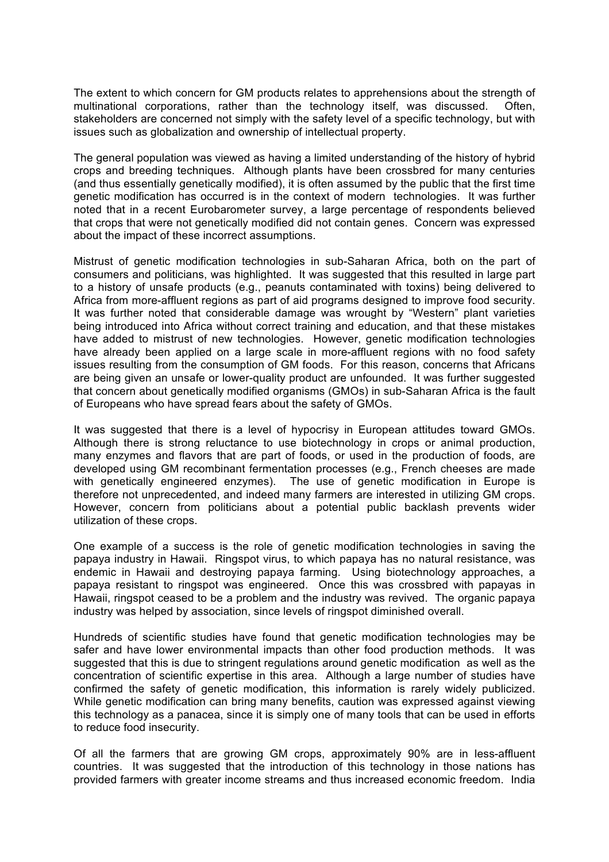The extent to which concern for GM products relates to apprehensions about the strength of multinational corporations, rather than the technology itself, was discussed. Often, stakeholders are concerned not simply with the safety level of a specific technology, but with issues such as globalization and ownership of intellectual property.

The general population was viewed as having a limited understanding of the history of hybrid crops and breeding techniques. Although plants have been crossbred for many centuries (and thus essentially genetically modified), it is often assumed by the public that the first time genetic modification has occurred is in the context of modern technologies. It was further noted that in a recent Eurobarometer survey, a large percentage of respondents believed that crops that were not genetically modified did not contain genes. Concern was expressed about the impact of these incorrect assumptions.

Mistrust of genetic modification technologies in sub-Saharan Africa, both on the part of consumers and politicians, was highlighted. It was suggested that this resulted in large part to a history of unsafe products (e.g., peanuts contaminated with toxins) being delivered to Africa from more-affluent regions as part of aid programs designed to improve food security. It was further noted that considerable damage was wrought by "Western" plant varieties being introduced into Africa without correct training and education, and that these mistakes have added to mistrust of new technologies. However, genetic modification technologies have already been applied on a large scale in more-affluent regions with no food safety issues resulting from the consumption of GM foods. For this reason, concerns that Africans are being given an unsafe or lower-quality product are unfounded. It was further suggested that concern about genetically modified organisms (GMOs) in sub-Saharan Africa is the fault of Europeans who have spread fears about the safety of GMOs.

It was suggested that there is a level of hypocrisy in European attitudes toward GMOs. Although there is strong reluctance to use biotechnology in crops or animal production, many enzymes and flavors that are part of foods, or used in the production of foods, are developed using GM recombinant fermentation processes (e.g., French cheeses are made with genetically engineered enzymes). The use of genetic modification in Europe is therefore not unprecedented, and indeed many farmers are interested in utilizing GM crops. However, concern from politicians about a potential public backlash prevents wider utilization of these crops.

One example of a success is the role of genetic modification technologies in saving the papaya industry in Hawaii. Ringspot virus, to which papaya has no natural resistance, was endemic in Hawaii and destroying papaya farming. Using biotechnology approaches, a papaya resistant to ringspot was engineered. Once this was crossbred with papayas in Hawaii, ringspot ceased to be a problem and the industry was revived. The organic papaya industry was helped by association, since levels of ringspot diminished overall.

Hundreds of scientific studies have found that genetic modification technologies may be safer and have lower environmental impacts than other food production methods. It was suggested that this is due to stringent regulations around genetic modification as well as the concentration of scientific expertise in this area. Although a large number of studies have confirmed the safety of genetic modification, this information is rarely widely publicized. While genetic modification can bring many benefits, caution was expressed against viewing this technology as a panacea, since it is simply one of many tools that can be used in efforts to reduce food insecurity.

Of all the farmers that are growing GM crops, approximately 90% are in less-affluent countries. It was suggested that the introduction of this technology in those nations has provided farmers with greater income streams and thus increased economic freedom. India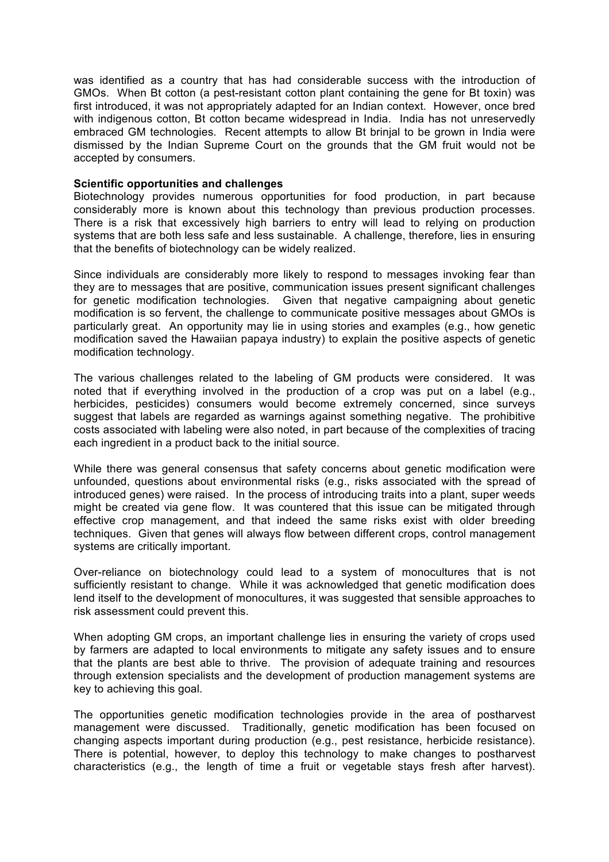was identified as a country that has had considerable success with the introduction of GMOs. When Bt cotton (a pest-resistant cotton plant containing the gene for Bt toxin) was first introduced, it was not appropriately adapted for an Indian context. However, once bred with indigenous cotton, Bt cotton became widespread in India. India has not unreservedly embraced GM technologies. Recent attempts to allow Bt brinjal to be grown in India were dismissed by the Indian Supreme Court on the grounds that the GM fruit would not be accepted by consumers.

### **Scientific opportunities and challenges**

Biotechnology provides numerous opportunities for food production, in part because considerably more is known about this technology than previous production processes. There is a risk that excessively high barriers to entry will lead to relying on production systems that are both less safe and less sustainable. A challenge, therefore, lies in ensuring that the benefits of biotechnology can be widely realized.

Since individuals are considerably more likely to respond to messages invoking fear than they are to messages that are positive, communication issues present significant challenges for genetic modification technologies. Given that negative campaigning about genetic modification is so fervent, the challenge to communicate positive messages about GMOs is particularly great. An opportunity may lie in using stories and examples (e.g., how genetic modification saved the Hawaiian papaya industry) to explain the positive aspects of genetic modification technology.

The various challenges related to the labeling of GM products were considered. It was noted that if everything involved in the production of a crop was put on a label (e.g., herbicides, pesticides) consumers would become extremely concerned, since surveys suggest that labels are regarded as warnings against something negative. The prohibitive costs associated with labeling were also noted, in part because of the complexities of tracing each ingredient in a product back to the initial source.

While there was general consensus that safety concerns about genetic modification were unfounded, questions about environmental risks (e.g., risks associated with the spread of introduced genes) were raised. In the process of introducing traits into a plant, super weeds might be created via gene flow. It was countered that this issue can be mitigated through effective crop management, and that indeed the same risks exist with older breeding techniques. Given that genes will always flow between different crops, control management systems are critically important.

Over-reliance on biotechnology could lead to a system of monocultures that is not sufficiently resistant to change. While it was acknowledged that genetic modification does lend itself to the development of monocultures, it was suggested that sensible approaches to risk assessment could prevent this.

When adopting GM crops, an important challenge lies in ensuring the variety of crops used by farmers are adapted to local environments to mitigate any safety issues and to ensure that the plants are best able to thrive. The provision of adequate training and resources through extension specialists and the development of production management systems are key to achieving this goal.

The opportunities genetic modification technologies provide in the area of postharvest management were discussed. Traditionally, genetic modification has been focused on changing aspects important during production (e.g., pest resistance, herbicide resistance). There is potential, however, to deploy this technology to make changes to postharvest characteristics (e.g., the length of time a fruit or vegetable stays fresh after harvest).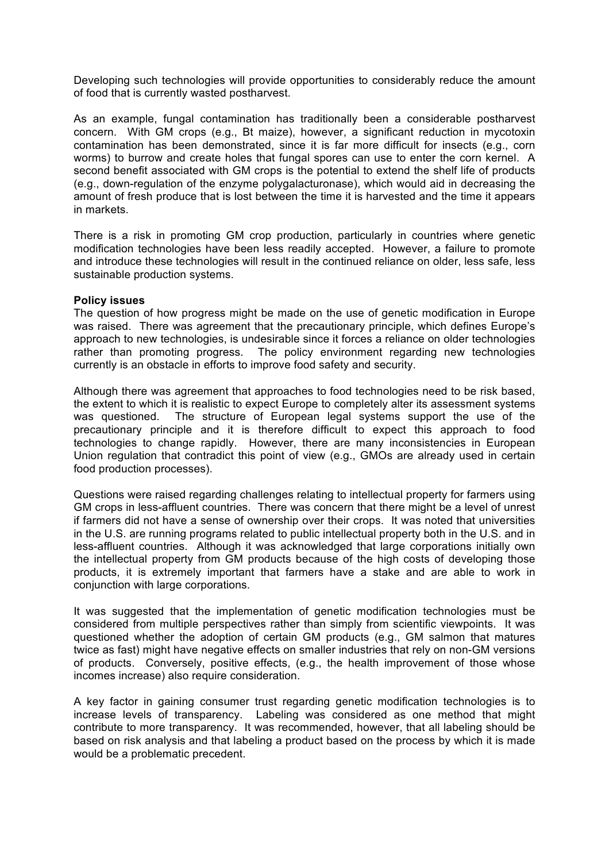Developing such technologies will provide opportunities to considerably reduce the amount of food that is currently wasted postharvest.

As an example, fungal contamination has traditionally been a considerable postharvest concern. With GM crops (e.g., Bt maize), however, a significant reduction in mycotoxin contamination has been demonstrated, since it is far more difficult for insects (e.g., corn worms) to burrow and create holes that fungal spores can use to enter the corn kernel. A second benefit associated with GM crops is the potential to extend the shelf life of products (e.g., down-regulation of the enzyme polygalacturonase), which would aid in decreasing the amount of fresh produce that is lost between the time it is harvested and the time it appears in markets.

There is a risk in promoting GM crop production, particularly in countries where genetic modification technologies have been less readily accepted. However, a failure to promote and introduce these technologies will result in the continued reliance on older, less safe, less sustainable production systems.

### **Policy issues**

The question of how progress might be made on the use of genetic modification in Europe was raised. There was agreement that the precautionary principle, which defines Europe's approach to new technologies, is undesirable since it forces a reliance on older technologies rather than promoting progress. The policy environment regarding new technologies currently is an obstacle in efforts to improve food safety and security.

Although there was agreement that approaches to food technologies need to be risk based, the extent to which it is realistic to expect Europe to completely alter its assessment systems was questioned. The structure of European legal systems support the use of the precautionary principle and it is therefore difficult to expect this approach to food technologies to change rapidly. However, there are many inconsistencies in European Union regulation that contradict this point of view (e.g., GMOs are already used in certain food production processes).

Questions were raised regarding challenges relating to intellectual property for farmers using GM crops in less-affluent countries. There was concern that there might be a level of unrest if farmers did not have a sense of ownership over their crops. It was noted that universities in the U.S. are running programs related to public intellectual property both in the U.S. and in less-affluent countries. Although it was acknowledged that large corporations initially own the intellectual property from GM products because of the high costs of developing those products, it is extremely important that farmers have a stake and are able to work in conjunction with large corporations.

It was suggested that the implementation of genetic modification technologies must be considered from multiple perspectives rather than simply from scientific viewpoints. It was questioned whether the adoption of certain GM products (e.g., GM salmon that matures twice as fast) might have negative effects on smaller industries that rely on non-GM versions of products. Conversely, positive effects, (e.g., the health improvement of those whose incomes increase) also require consideration.

A key factor in gaining consumer trust regarding genetic modification technologies is to increase levels of transparency. Labeling was considered as one method that might contribute to more transparency. It was recommended, however, that all labeling should be based on risk analysis and that labeling a product based on the process by which it is made would be a problematic precedent.